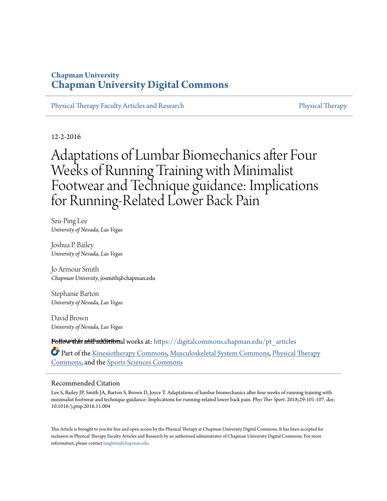## **Chapman University [Chapman University Digital Commons](https://digitalcommons.chapman.edu?utm_source=digitalcommons.chapman.edu%2Fpt_articles%2F64&utm_medium=PDF&utm_campaign=PDFCoverPages)**

[Physical Therapy Faculty Articles and Research](https://digitalcommons.chapman.edu/pt_articles?utm_source=digitalcommons.chapman.edu%2Fpt_articles%2F64&utm_medium=PDF&utm_campaign=PDFCoverPages) **[Physical Therapy](https://digitalcommons.chapman.edu/physicaltherapy?utm_source=digitalcommons.chapman.edu%2Fpt_articles%2F64&utm_medium=PDF&utm_campaign=PDFCoverPages)** Physical Therapy

12-2-2016

# Adaptations of Lumbar Biomechanics after Four Weeks of Running Training with Minimalist Footwear and Technique guidance: Implications for Running-Related Lower Back Pain

Szu-Ping Lee *University of Nevada, Las Vegas*

Joshua P. Bailey *University of Nevada, Las Vegas*

Jo Armour Smith *Chapman University*, josmith@chapman.edu

Stephanie Barton *University of Nevada, Las Vegas*

David Brown *University of Nevada, Las Vegas*

**Follow this a<del>dd</del>iaddittional** works at: [https://digitalcommons.chapman.edu/pt\\_articles](https://digitalcommons.chapman.edu/pt_articles?utm_source=digitalcommons.chapman.edu%2Fpt_articles%2F64&utm_medium=PDF&utm_campaign=PDFCoverPages)

Part of the [Kinesiotherapy Commons](http://network.bepress.com/hgg/discipline/757?utm_source=digitalcommons.chapman.edu%2Fpt_articles%2F64&utm_medium=PDF&utm_campaign=PDFCoverPages), [Musculoskeletal System Commons](http://network.bepress.com/hgg/discipline/938?utm_source=digitalcommons.chapman.edu%2Fpt_articles%2F64&utm_medium=PDF&utm_campaign=PDFCoverPages), [Physical Therapy](http://network.bepress.com/hgg/discipline/754?utm_source=digitalcommons.chapman.edu%2Fpt_articles%2F64&utm_medium=PDF&utm_campaign=PDFCoverPages) [Commons,](http://network.bepress.com/hgg/discipline/754?utm_source=digitalcommons.chapman.edu%2Fpt_articles%2F64&utm_medium=PDF&utm_campaign=PDFCoverPages) and the [Sports Sciences Commons](http://network.bepress.com/hgg/discipline/759?utm_source=digitalcommons.chapman.edu%2Fpt_articles%2F64&utm_medium=PDF&utm_campaign=PDFCoverPages)

#### Recommended Citation

Lee S, Bailey JP, Smith JA, Barton S, Brown D, Joyce T. Adaptations of lumbar biomechanics after four weeks of running training with minimalist footwear and technique guidance: Implications for running-related lower back pain. *Phys Ther Sport*. 2018;29:101-107. doi: 10.1016/j.ptsp.2016.11.004

This Article is brought to you for free and open access by the Physical Therapy at Chapman University Digital Commons. It has been accepted for inclusion in Physical Therapy Faculty Articles and Research by an authorized administrator of Chapman University Digital Commons. For more information, please contact [laughtin@chapman.edu](mailto:laughtin@chapman.edu).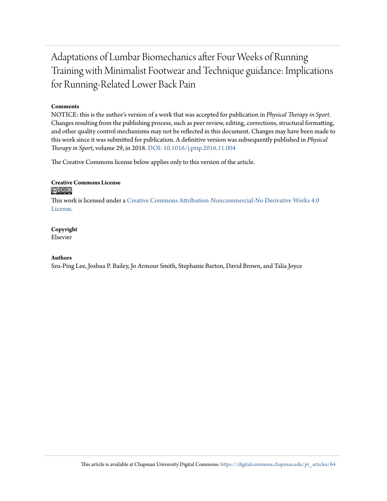# Adaptations of Lumbar Biomechanics after Four Weeks of Running Training with Minimalist Footwear and Technique guidance: Implications for Running-Related Lower Back Pain

#### **Comments**

NOTICE: this is the author's version of a work that was accepted for publication in *Physical Therapy in Sport*. Changes resulting from the publishing process, such as peer review, editing, corrections, structural formatting, and other quality control mechanisms may not be reflected in this document. Changes may have been made to this work since it was submitted for publication. A definitive version was subsequently published in *Physical Therapy in Sport*, volume 29, in 2018. [DOI: 10.1016/j.ptsp.2016.11.004](https://doi.org/10.1016/j.ptsp.2016.11.004)

The Creative Commons license below applies only to this version of the article.

#### **Creative Commons License** <u>@O®©</u>

This work is licensed under a [Creative Commons Attribution-Noncommercial-No Derivative Works 4.0](https://creativecommons.org/licenses/by-nc-nd/4.0/) [License.](https://creativecommons.org/licenses/by-nc-nd/4.0/)

#### **Copyright**

Elsevier

#### **Authors**

Szu-Ping Lee, Joshua P. Bailey, Jo Armour Smith, Stephanie Barton, David Brown, and Talia Joyce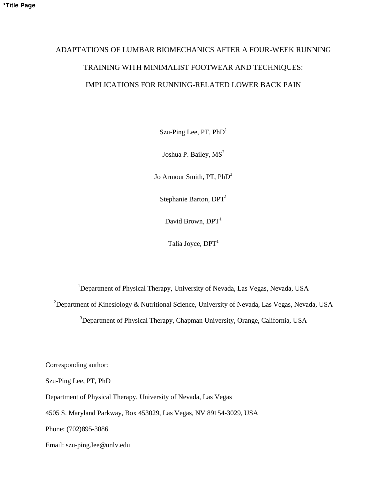# ADAPTATIONS OF LUMBAR BIOMECHANICS AFTER A FOUR-WEEK RUNNING TRAINING WITH MINIMALIST FOOTWEAR AND TECHNIQUES: IMPLICATIONS FOR RUNNING-RELATED LOWER BACK PAIN

Szu-Ping Lee,  $PT$ ,  $PhD<sup>1</sup>$ 

Joshua P. Bailey,  $MS<sup>2</sup>$ 

Jo Armour Smith, PT, PhD<sup>3</sup>

Stephanie Barton,  $DPT<sup>1</sup>$ 

David Brown,  $DPT<sup>1</sup>$ 

Talia Joyce,  $DPT<sup>1</sup>$ 

<sup>1</sup>Department of Physical Therapy, University of Nevada, Las Vegas, Nevada, USA <sup>2</sup>Department of Kinesiology & Nutritional Science, University of Nevada, Las Vegas, Nevada, USA

<sup>3</sup>Department of Physical Therapy, Chapman University, Orange, California, USA

Corresponding author:

Szu-Ping Lee, PT, PhD

Department of Physical Therapy, University of Nevada, Las Vegas

4505 S. Maryland Parkway, Box 453029, Las Vegas, NV 89154-3029, USA

Phone: (702)895-3086

Email: szu-ping.lee@unlv.edu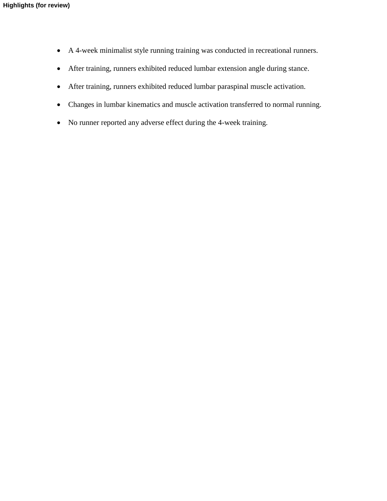- A 4-week minimalist style running training was conducted in recreational runners.
- After training, runners exhibited reduced lumbar extension angle during stance.
- After training, runners exhibited reduced lumbar paraspinal muscle activation.
- Changes in lumbar kinematics and muscle activation transferred to normal running.
- No runner reported any adverse effect during the 4-week training.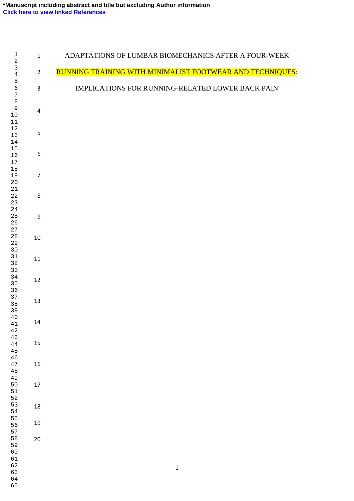| $\mathbf 1$<br>$\sqrt{2}$        | $\mathbf{1}$     | ADAPTATIONS OF LUMBAR BIOMECHANICS AFTER A FOUR-WEEK      |
|----------------------------------|------------------|-----------------------------------------------------------|
| $\mathsf 3$<br>$\overline{4}$    | $\overline{2}$   | RUNNING TRAINING WITH MINIMALIST FOOTWEAR AND TECHNIQUES: |
| 5<br>6<br>$\boldsymbol{7}$       | $\mathsf 3$      | IMPLICATIONS FOR RUNNING-RELATED LOWER BACK PAIN          |
| $\,8\,$<br>9<br>$10\,$<br>$11\,$ | $\overline{4}$   |                                                           |
| $1\sqrt{2}$<br>13<br>14          | 5                |                                                           |
| 15<br>16<br>17                   | $\boldsymbol{6}$ |                                                           |
| $18\,$<br>19<br>$20\,$           | $\overline{7}$   |                                                           |
| 21<br>22<br>23                   | 8                |                                                           |
| 24<br>25<br>26                   | 9                |                                                           |
| 27<br>$2\,8$<br>29<br>$30$       | 10               |                                                           |
| 31<br>32<br>33                   | 11               |                                                           |
| 34<br>35<br>36                   | 12               |                                                           |
| 37<br>38<br>39                   | 13               |                                                           |
| $40\,$<br>$41\,$<br>$4\sqrt{2}$  | 14               |                                                           |
| 43<br>$4\,4$<br>45               | 15               |                                                           |
| 46<br>47<br>$4\,8$               | 16               |                                                           |
| 49<br>50<br>51<br>52             | $17\,$           |                                                           |
| 53<br>54                         | 18               |                                                           |
| 55<br>56<br>57                   | 19               |                                                           |
| 58<br>59<br>60                   | 20               |                                                           |
| 61<br>62<br>63<br>64             |                  | $\mathbf 1$                                               |
| 65                               |                  |                                                           |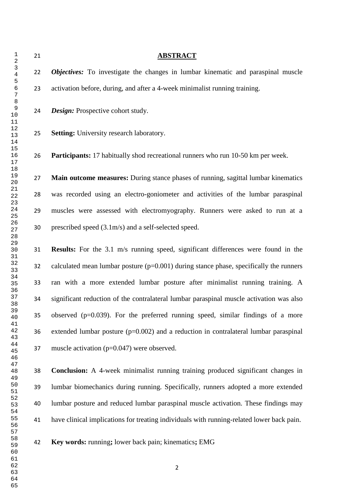**ABSTRACT** *Objectives:* To investigate the changes in lumbar kinematic and paraspinal muscle activation before, during, and after a 4-week minimalist running training. *Design:* Prospective cohort study. **Setting:** University research laboratory. **Participants:** 17 habitually shod recreational runners who run 10-50 km per week. **Main outcome measures:** During stance phases of running, sagittal lumbar kinematics was recorded using an electro-goniometer and activities of the lumbar paraspinal muscles were assessed with electromyography. Runners were asked to run at a prescribed speed (3.1m/s) and a self-selected speed. **Results:** For the 3.1 m/s running speed, significant differences were found in the 32 calculated mean lumbar posture  $(p=0.001)$  during stance phase, specifically the runners ran with a more extended lumbar posture after minimalist running training. A significant reduction of the contralateral lumbar paraspinal muscle activation was also observed (p=0.039). For the preferred running speed, similar findings of a more 36 extended lumbar posture  $(p=0.002)$  and a reduction in contralateral lumbar paraspinal muscle activation (p=0.047) were observed.

 **Conclusion:** A 4-week minimalist running training produced significant changes in lumbar biomechanics during running. Specifically, runners adopted a more extended lumbar posture and reduced lumbar paraspinal muscle activation. These findings may have clinical implications for treating individuals with running-related lower back pain.

**Key words:** running**;** lower back pain; kinematics**;** EMG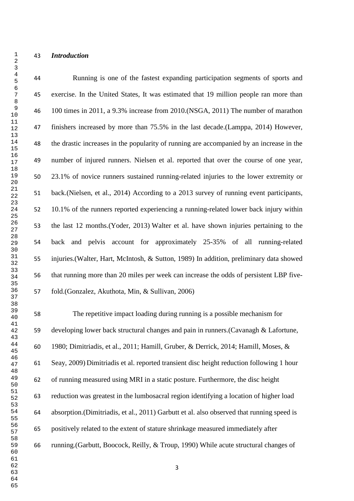#### *Introduction*

 Running is one of the fastest expanding participation segments of sports and exercise. In the United States, It was estimated that 19 million people ran more than 100 times in 2011, a 9.3% increase from 2010.[\(NSGA, 2011\)](#page-28-0) The number of marathon finishers increased by more than 75.5% in the last decade.[\(Lamppa, 2014\)](#page-27-0) However, the drastic increases in the popularity of running are accompanied by an increase in the number of injured runners. Nielsen et al. reported that over the course of one year, 23.1% of novice runners sustained running-related injuries to the lower extremity or back.[\(Nielsen, et al., 2014\)](#page-27-1) According to a 2013 survey of running event participants, 10.1% of the runners reported experiencing a running-related lower back injury within the last 12 months.[\(Yoder, 2013\)](#page-29-0) Walter et al. have shown injuries pertaining to the back and pelvis account for approximately 25-35% of all running-related injuries.[\(Walter, Hart, McIntosh, & Sutton, 1989\)](#page-29-1) In addition, preliminary data showed that running more than 20 miles per week can increase the odds of persistent LBP five-fold.[\(Gonzalez, Akuthota, Min, & Sullivan, 2006\)](#page-26-0)

 The repetitive impact loading during running is a possible mechanism for developing lower back structural changes and pain in runners.[\(Cavanagh & Lafortune,](#page-26-1)  [1980;](#page-26-1) [Dimitriadis, et al., 2011;](#page-26-2) [Hamill, Gruber, & Derrick, 2014;](#page-26-3) [Hamill, Moses, &](#page-27-2)  [Seay, 2009\)](#page-27-2) Dimitriadis et al. reported transient disc height reduction following 1 hour of running measured using MRI in a static posture. Furthermore, the disc height reduction was greatest in the lumbosacral region identifying a location of higher load absorption.[\(Dimitriadis, et al., 2011\)](#page-26-2) Garbutt et al. also observed that running speed is positively related to the extent of stature shrinkage measured immediately after running.[\(Garbutt, Boocock, Reilly, & Troup, 1990\)](#page-26-4) While acute structural changes of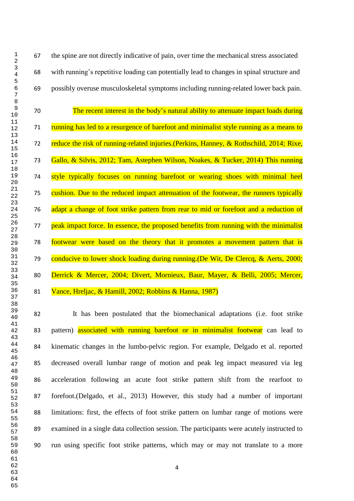the spine are not directly indicative of pain, over time the mechanical stress associated with running's repetitive loading can potentially lead to changes in spinal structure and possibly overuse musculoskeletal symptoms including running-related lower back pain.

 The recent interest in the body's natural ability to attenuate impact loads during running has led to a resurgence of barefoot and minimalist style running as a means to 72 reduce the risk of running-related injuries. [\(Perkins, Hanney, & Rothschild, 2014;](#page-28-1) Rixe, [Gallo, & Silvis, 2012;](#page-28-2) [Tam, Astephen Wilson, Noakes, & Tucker, 2014\)](#page-29-2) This running 74 style typically focuses on running barefoot or wearing shoes with minimal heel cushion. Due to the reduced impact attenuation of the footwear, the runners typically adapt a change of foot strike pattern from rear to mid or forefoot and a reduction of 77 peak impact force. In essence, the proposed benefits from running with the minimalist footwear were based on the theory that it promotes a movement pattern that is conducive to lower shock loading during running.[\(De Wit, De Clercq, & Aerts, 2000;](#page-26-5) [Derrick & Mercer, 2004;](#page-26-6) [Divert, Mornieux, Baur, Mayer, & Belli, 2005;](#page-26-7) Mercer, [Vance, Hreljac, & Hamill, 2002;](#page-27-3) [Robbins & Hanna, 1987\)](#page-28-3)

 It has been postulated that the biomechanical adaptations (i.e. foot strike 83 pattern) associated with running barefoot or in minimalist footwear can lead to kinematic changes in the lumbo-pelvic region. For example, Delgado et al. reported decreased overall lumbar range of motion and peak leg impact measured via leg acceleration following an acute foot strike pattern shift from the rearfoot to forefoot.[\(Delgado, et al., 2013\)](#page-26-8) However, this study had a number of important limitations: first, the effects of foot strike pattern on lumbar range of motions were examined in a single data collection session. The participants were acutely instructed to run using specific foot strike patterns, which may or may not translate to a more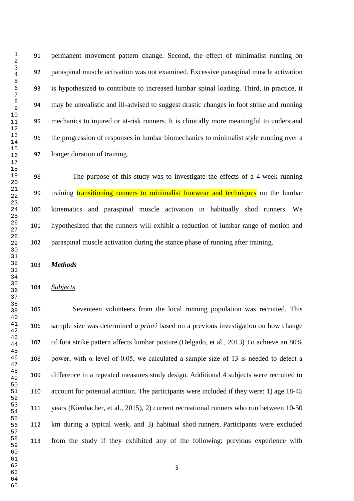permanent movement pattern change. Second, the effect of minimalist running on paraspinal muscle activation was not examined. Excessive paraspinal muscle activation is hypothesized to contribute to increased lumbar spinal loading. Third, in practice, it may be unrealistic and ill-advised to suggest drastic changes in foot strike and running mechanics to injured or at-risk runners. It is clinically more meaningful to understand the progression of responses in lumbar biomechanics to minimalist style running over a longer duration of training.

 The purpose of this study was to investigate the effects of a 4-week running 99 training transitioning runners to minimalist footwear and techniques on the lumbar kinematics and paraspinal muscle activation in habitually shod runners. We hypothesized that the runners will exhibit a reduction of lumbar range of motion and paraspinal muscle activation during the stance phase of running after training.

*Methods*

#### *Subjects*

 Seventeen volunteers from the local running population was recruited. This sample size was determined *a priori* based on a previous investigation on how change of foot strike pattern affects lumbar posture.[\(Delgado, et al., 2013\)](#page-26-8) To achieve an 80% 108 power, with  $\alpha$  level of 0.05, we calculated a sample size of 13 is needed to detect a difference in a repeated measures study design. Additional 4 subjects were recruited to account for potential attrition. The participants were included if they were: 1) age 18-45 years [\(Kienbacher, et al., 2015\)](#page-27-4), 2) current recreational runners who run between 10-50 km during a typical week, and 3) habitual shod runners. Participants were excluded from the study if they exhibited any of the following: previous experience with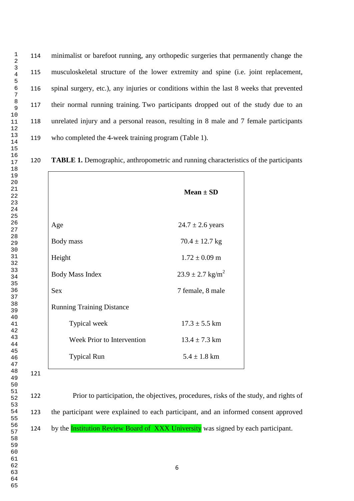minimalist or barefoot running, any orthopedic surgeries that permanently change the musculoskeletal structure of the lower extremity and spine (i.e. joint replacement, spinal surgery, etc.), any injuries or conditions within the last 8 weeks that prevented their normal running training. Two participants dropped out of the study due to an unrelated injury and a personal reason, resulting in 8 male and 7 female participants who completed the 4-week training program (Table 1).

**TABLE 1.** Demographic, anthropometric and running characteristics of the participants

|                                   | $Mean \pm SD$                    |  |  |
|-----------------------------------|----------------------------------|--|--|
| Age                               | $24.7 \pm 2.6$ years             |  |  |
| Body mass                         | $70.4 \pm 12.7$ kg               |  |  |
| Height                            | $1.72 \pm 0.09$ m                |  |  |
| <b>Body Mass Index</b>            | $23.9 \pm 2.7$ kg/m <sup>2</sup> |  |  |
| <b>Sex</b>                        | 7 female, 8 male                 |  |  |
| <b>Running Training Distance</b>  |                                  |  |  |
| Typical week                      | $17.3 \pm 5.5$ km                |  |  |
| <b>Week Prior to Intervention</b> | $13.4 \pm 7.3$ km                |  |  |
| <b>Typical Run</b>                | $5.4 \pm 1.8$ km                 |  |  |

 

 Prior to participation, the objectives, procedures, risks of the study, and rights of the participant were explained to each participant, and an informed consent approved 124 by the **Institution Review Board of XXX University** was signed by each participant.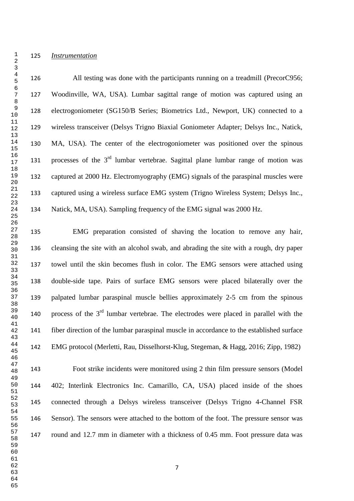*Instrumentation*

 All testing was done with the participants running on a treadmill (PrecorC956; Woodinville, WA, USA). Lumbar sagittal range of motion was captured using an electrogoniometer (SG150/B Series; Biometrics Ltd., Newport, UK) connected to a wireless transceiver (Delsys Trigno Biaxial Goniometer Adapter; Delsys Inc., Natick, MA, USA). The center of the electrogoniometer was positioned over the spinous 131 processes of the  $3<sup>rd</sup>$  lumbar vertebrae. Sagittal plane lumbar range of motion was captured at 2000 Hz. Electromyography (EMG) signals of the paraspinal muscles were captured using a wireless surface EMG system (Trigno Wireless System; Delsys Inc., Natick, MA, USA). Sampling frequency of the EMG signal was 2000 Hz.

 EMG preparation consisted of shaving the location to remove any hair, cleansing the site with an alcohol swab, and abrading the site with a rough, dry paper towel until the skin becomes flush in color. The EMG sensors were attached using double-side tape. Pairs of surface EMG sensors were placed bilaterally over the palpated lumbar paraspinal muscle bellies approximately 2-5 cm from the spinous 140 process of the  $3<sup>rd</sup>$  lumbar vertebrae. The electrodes were placed in parallel with the fiber direction of the lumbar paraspinal muscle in accordance to the established surface EMG protocol [\(Merletti, Rau, Disselhorst-Klug, Stegeman, & Hagg, 2016;](#page-27-5) [Zipp, 1982\)](#page-29-3)

 Foot strike incidents were monitored using 2 thin film pressure sensors (Model 402; Interlink Electronics Inc. Camarillo, CA, USA) placed inside of the shoes connected through a Delsys wireless transceiver (Delsys Trigno 4-Channel FSR Sensor). The sensors were attached to the bottom of the foot. The pressure sensor was round and 12.7 mm in diameter with a thickness of 0.45 mm. Foot pressure data was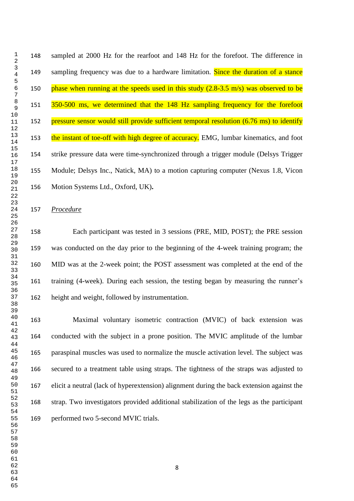sampled at 2000 Hz for the rearfoot and 148 Hz for the forefoot. The difference in 149 sampling frequency was due to a hardware limitation. Since the duration of a stance 150 phase when running at the speeds used in this study  $(2.8-3.5 \text{ m/s})$  was observed to be 151 350-500 ms, we determined that the 148 Hz sampling frequency for the forefoot 152 pressure sensor would still provide sufficient temporal resolution (6.76 ms) to identify 153 the instant of toe-off with high degree of accuracy. EMG, lumbar kinematics, and foot strike pressure data were time-synchronized through a trigger module (Delsys Trigger Module; Delsys Inc., Natick, MA) to a motion capturing computer (Nexus 1.8, Vicon Motion Systems Ltd., Oxford, UK)**.**

*Procedure*

 Each participant was tested in 3 sessions (PRE, MID, POST); the PRE session was conducted on the day prior to the beginning of the 4-week training program; the MID was at the 2-week point; the POST assessment was completed at the end of the training (4-week). During each session, the testing began by measuring the runner's height and weight, followed by instrumentation.

 Maximal voluntary isometric contraction (MVIC) of back extension was conducted with the subject in a prone position. The MVIC amplitude of the lumbar paraspinal muscles was used to normalize the muscle activation level. The subject was secured to a treatment table using straps. The tightness of the straps was adjusted to elicit a neutral (lack of hyperextension) alignment during the back extension against the strap. Two investigators provided additional stabilization of the legs as the participant performed two 5-second MVIC trials.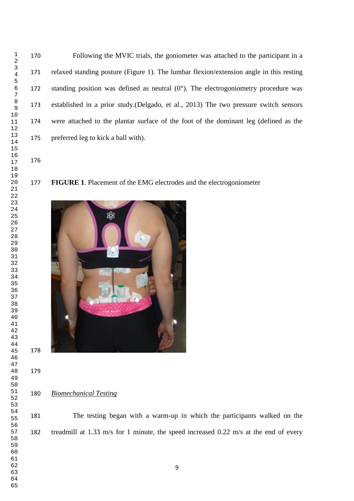Following the MVIC trials, the goniometer was attached to the participant in a relaxed standing posture (Figure 1). The lumbar flexion/extension angle in this resting 172 standing position was defined as neutral  $(0^{\circ})$ . The electrogoniometry procedure was established in a prior study.[\(Delgado, et al., 2013\)](#page-26-8) The two pressure switch sensors were attached to the plantar surface of the foot of the dominant leg (defined as the preferred leg to kick a ball with).

#### **FIGURE 1**. Placement of the EMG electrodes and the electrogoniometer



*Biomechanical Testing*

 The testing began with a warm-up in which the participants walked on the treadmill at 1.33 m/s for 1 minute, the speed increased 0.22 m/s at the end of every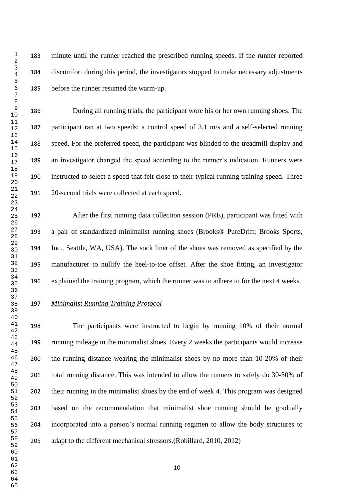minute until the runner reached the prescribed running speeds. If the runner reported discomfort during this period, the investigators stopped to make necessary adjustments before the runner resumed the warm-up.

 During all running trials, the participant wore his or her own running shoes. The participant ran at two speeds: a control speed of 3.1 m/s and a self-selected running speed. For the preferred speed, the participant was blinded to the treadmill display and an investigator changed the speed according to the runner's indication. Runners were instructed to select a speed that felt close to their typical running training speed. Three 20-second trials were collected at each speed.

 After the first running data collection session (PRE), participant was fitted with a pair of standardized minimalist running shoes (Brooks® PureDrift; Brooks Sports, Inc., Seattle, WA, USA). The sock liner of the shoes was removed as specified by the manufacturer to nullify the heel-to-toe offset. After the shoe fitting, an investigator explained the training program, which the runner was to adhere to for the next 4 weeks.

### *Minimalist Running Training Protocol*

 The participants were instructed to begin by running 10% of their normal running mileage in the minimalist shoes. Every 2 weeks the participants would increase the running distance wearing the minimalist shoes by no more than 10-20% of their total running distance. This was intended to allow the runners to safely do 30-50% of their running in the minimalist shoes by the end of week 4. This program was designed based on the recommendation that minimalist shoe running should be gradually incorporated into a person's normal running regimen to allow the body structures to adapt to the different mechanical stressors.[\(Robillard, 2010,](#page-28-4) [2012\)](#page-28-5)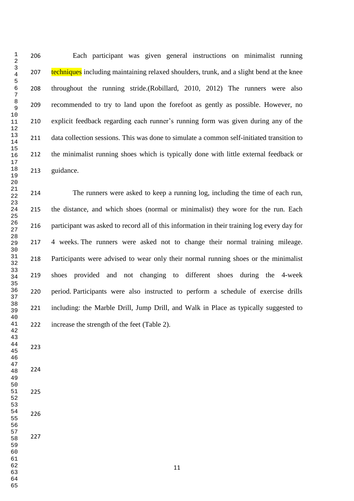Each participant was given general instructions on minimalist running 207 techniques including maintaining relaxed shoulders, trunk, and a slight bend at the knee throughout the running stride.[\(Robillard, 2010,](#page-28-4) [2012\)](#page-28-5) The runners were also recommended to try to land upon the forefoot as gently as possible. However, no explicit feedback regarding each runner's running form was given during any of the data collection sessions. This was done to simulate a common self-initiated transition to the minimalist running shoes which is typically done with little external feedback or guidance.

 The runners were asked to keep a running log, including the time of each run, the distance, and which shoes (normal or minimalist) they wore for the run. Each participant was asked to record all of this information in their training log every day for 4 weeks. The runners were asked not to change their normal training mileage. Participants were advised to wear only their normal running shoes or the minimalist shoes provided and not changing to different shoes during the 4-week period. Participants were also instructed to perform a schedule of exercise drills including: the Marble Drill, Jump Drill, and Walk in Place as typically suggested to increase the strength of the feet (Table 2).

- 
-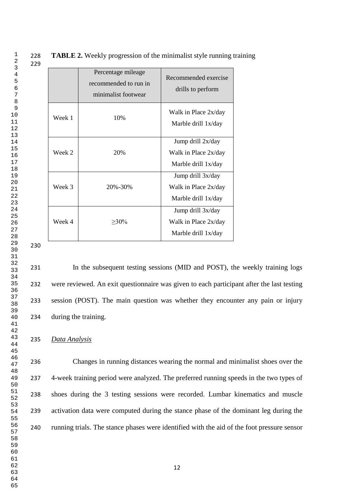**TABLE 2.** Weekly progression of the minimalist style running training

|        | Percentage mileage<br>recommended to run in<br>minimalist footwear | Recommended exercise<br>drills to perform                        |
|--------|--------------------------------------------------------------------|------------------------------------------------------------------|
| Week 1 | 10%                                                                | Walk in Place 2x/day<br>Marble drill 1x/day                      |
| Week 2 | 20%                                                                | Jump drill 2x/day<br>Walk in Place 2x/day<br>Marble drill 1x/day |
| Week 3 | 20%-30%                                                            | Jump drill 3x/day<br>Walk in Place 2x/day<br>Marble drill 1x/day |
| Week 4 | $>30\%$                                                            | Jump drill 3x/day<br>Walk in Place 2x/day<br>Marble drill 1x/day |

 In the subsequent testing sessions (MID and POST), the weekly training logs were reviewed. An exit questionnaire was given to each participant after the last testing session (POST). The main question was whether they encounter any pain or injury during the training.

*Data Analysis*

 Changes in running distances wearing the normal and minimalist shoes over the 4-week training period were analyzed. The preferred running speeds in the two types of shoes during the 3 testing sessions were recorded. Lumbar kinematics and muscle activation data were computed during the stance phase of the dominant leg during the running trials. The stance phases were identified with the aid of the foot pressure sensor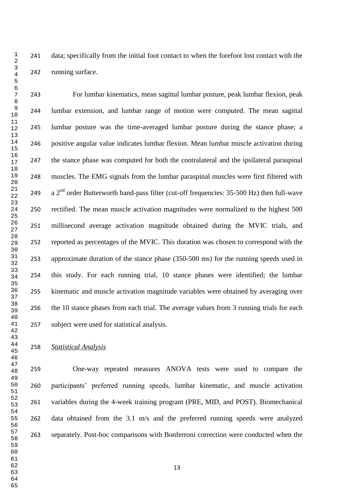data; specifically from the initial foot contact to when the forefoot lost contact with the running surface.

 For lumbar kinematics, mean sagittal lumbar posture, peak lumbar flexion, peak lumbar extension, and lumbar range of motion were computed. The mean sagittal lumbar posture was the time-averaged lumbar posture during the stance phase; a positive angular value indicates lumbar flexion. Mean lumbar muscle activation during the stance phase was computed for both the contralateral and the ipsilateral paraspinal muscles. The EMG signals from the lumbar paraspinal muscles were first filtered with  $a$   $2^{nd}$  order Butterworth band-pass filter (cut-off frequencies: 35-500 Hz) then full-wave rectified. The mean muscle activation magnitudes were normalized to the highest 500 millisecond average activation magnitude obtained during the MVIC trials, and reported as percentages of the MVIC. This duration was chosen to correspond with the approximate duration of the stance phase (350-500 ms) for the running speeds used in this study. For each running trial, 10 stance phases were identified; the lumbar kinematic and muscle activation magnitude variables were obtained by averaging over the 10 stance phases from each trial. The average values from 3 running trials for each subject were used for statistical analysis.

#### *Statistical Analysis*

 One-way repeated measures ANOVA tests were used to compare the participants' preferred running speeds, lumbar kinematic, and muscle activation variables during the 4-week training program (PRE, MID, and POST). Biomechanical data obtained from the 3.1 m/s and the preferred running speeds were analyzed separately. Post-hoc comparisons with Bonferroni correction were conducted when the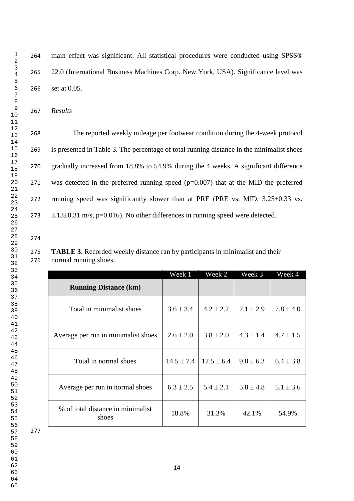main effect was significant. All statistical procedures were conducted using SPSS® 22.0 (International Business Machines Corp. New York, USA). Significance level was set at 0.05.

*Results*

 The reported weekly mileage per footwear condition during the 4-week protocol is presented in Table 3. The percentage of total running distance in the minimalist shoes gradually increased from 18.8% to 54.9% during the 4 weeks. A significant difference was detected in the preferred running speed (p=0.007) that at the MID the preferred running speed was significantly slower than at PRE (PRE vs. MID, 3.25±0.33 vs.  $3.13\pm0.31$  m/s, p=0.016). No other differences in running speed were detected.

 **TABLE 3.** Recorded weekly distance ran by participants in minimalist and their normal running shoes.

|                                            | Week 1         | Week 2         | Week 3        | Week 4        |
|--------------------------------------------|----------------|----------------|---------------|---------------|
| <b>Running Distance (km)</b>               |                |                |               |               |
| Total in minimalist shoes                  | $3.6 \pm 3.4$  | $4.2 \pm 2.2$  | $7.1 \pm 2.9$ | $7.8 \pm 4.0$ |
| Average per run in minimalist shoes        | $2.6 \pm 2.0$  | $3.8 \pm 2.0$  | $4.3 \pm 1.4$ | $4.7 \pm 1.5$ |
| Total in normal shoes                      | $14.5 \pm 7.4$ | $12.5 \pm 6.4$ | $9.8 \pm 6.3$ | $6.4 \pm 3.8$ |
| Average per run in normal shoes            | $6.3 \pm 2.5$  | $5.4 \pm 2.1$  | $5.8 \pm 4.8$ | $5.1 \pm 3.6$ |
| % of total distance in minimalist<br>shoes | 18.8%          | 31.3%          | 42.1%         | 54.9%         |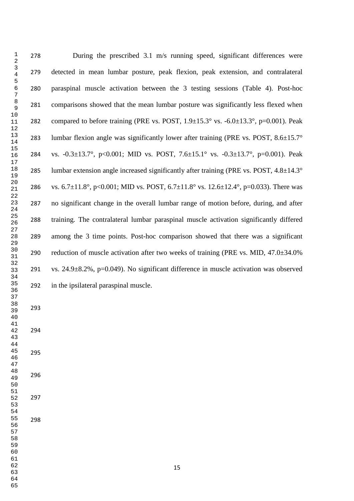During the prescribed 3.1 m/s running speed, significant differences were detected in mean lumbar posture, peak flexion, peak extension, and contralateral paraspinal muscle activation between the 3 testing sessions (Table 4). Post-hoc comparisons showed that the mean lumbar posture was significantly less flexed when 282 compared to before training (PRE vs. POST,  $1.9\pm 15.3^\circ$  vs.  $-6.0\pm 13.3^\circ$ ,  $p=0.001$ ). Peak 283 lumbar flexion angle was significantly lower after training (PRE vs. POST,  $8.6 \pm 15.7^\circ$ ) vs. -0.3±13.7°, p<0.001; MID vs. POST, 7.6±15.1° vs. -0.3±13.7°, p=0.001). Peak 285 lumbar extension angle increased significantly after training (PRE vs. POST,  $4.8 \pm 14.3^\circ$ ) 286 vs. 6.7 $\pm$ 11.8°, p<0.001; MID vs. POST, 6.7 $\pm$ 11.8° vs. 12.6 $\pm$ 12.4°, p=0.033). There was no significant change in the overall lumbar range of motion before, during, and after training. The contralateral lumbar paraspinal muscle activation significantly differed among the 3 time points. Post-hoc comparison showed that there was a significant 290 reduction of muscle activation after two weeks of training (PRE vs. MID,  $47.0\pm34.0\%$ ) 291 vs.  $24.9\pm8.2\%$ , p=0.049). No significant difference in muscle activation was observed in the ipsilateral paraspinal muscle.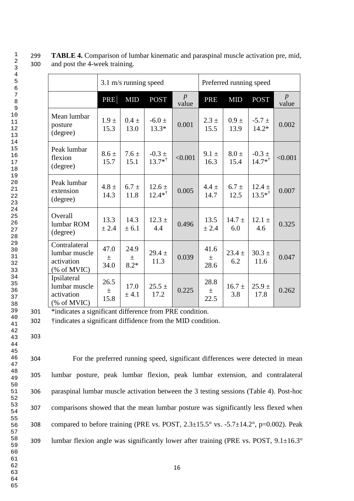|                                                            | $3.1 \text{ m/s}$ running speed |                         |                                 | Preferred running speed   |                       |                   |                                 |            |
|------------------------------------------------------------|---------------------------------|-------------------------|---------------------------------|---------------------------|-----------------------|-------------------|---------------------------------|------------|
|                                                            | <b>PRE</b>                      | <b>MID</b>              | <b>POST</b>                     | $\boldsymbol{p}$<br>value | <b>PRE</b>            | <b>MID</b>        | <b>POST</b>                     | p<br>value |
| Mean lumbar<br>posture<br>(degree)                         | $1.9 \pm$<br>15.3               | $0.4 \pm$<br>13.0       | $-6.0 \pm$<br>$13.3*$           | 0.001                     | $2.3 \pm$<br>15.5     | $0.9 \pm$<br>13.9 | $-5.7 \pm$<br>$14.2*$           | 0.002      |
| Peak lumbar<br>flexion<br>(degree)                         | $8.6 \pm$<br>15.7               | $7.6 \pm$<br>15.1       | $-0.3 \pm$<br>$13.7*^{\dagger}$ | < 0.001                   | $9.1 \pm$<br>16.3     | $8.0 \pm$<br>15.4 | $-0.3 \pm$<br>$14.7*^{\dagger}$ | < 0.001    |
| Peak lumbar<br>extension<br>(degree)                       | $4.8 \pm$<br>14.3               | $6.7 \pm$<br>11.8       | $12.6 \pm$<br>$12.4*^{\dagger}$ | 0.005                     | $4.4 \pm$<br>14.7     | $6.7 \pm$<br>12.5 | $12.4 \pm$<br>$13.5*^{\dagger}$ | 0.007      |
| Overall<br>lumbar ROM<br>(degree)                          | 13.3<br>± 2.4                   | 14.3<br>± 6.1           | $12.3 \pm$<br>4.4               | 0.496                     | 13.5<br>± 2.4         | $14.7 \pm$<br>6.0 | $12.1 \pm$<br>4.6               | 0.325      |
| Contralateral<br>lumbar muscle<br>activation<br>% of MVIC) | 47.0<br>$\pm$<br>34.0           | 24.9<br>$\pm$<br>$8.2*$ | $29.4 \pm$<br>11.3              | 0.039                     | 41.6<br>$\pm$<br>28.6 | $23.4 \pm$<br>6.2 | $30.3 \pm$<br>11.6              | 0.047      |
| Ipsilateral<br>lumbar muscle<br>activation<br>(% of MVIC)  | 26.5<br>土<br>15.8               | 17.0<br>± 4.1           | $25.5 \pm$<br>17.2              | 0.225                     | 28.8<br>$\pm$<br>22.5 | $16.7 \pm$<br>3.8 | $25.9 +$<br>17.8                | 0.262      |

299 **TABLE 4.** Comparison of lumbar kinematic and paraspinal muscle activation pre, mid, 300 and post the 4-week training.

301 \*indicates a significant difference from PRE condition.

302 †indicates a significant diffidence from the MID condition.

303

 For the preferred running speed, significant differences were detected in mean lumbar posture, peak lumbar flexion, peak lumbar extension, and contralateral paraspinal lumbar muscle activation between the 3 testing sessions (Table 4). Post-hoc comparisons showed that the mean lumbar posture was significantly less flexed when 308 compared to before training (PRE vs. POST,  $2.3\pm15.5^\circ$  vs.  $-5.7\pm14.2^\circ$ , p=0.002). Peak 309 lumbar flexion angle was significantly lower after training (PRE vs. POST, 9.1±16.3°

16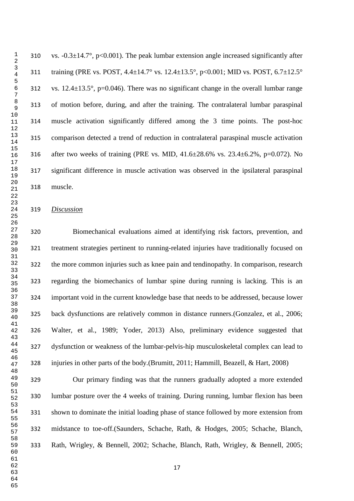310 vs.  $-0.3\pm14.7^{\circ}$ , p<0.001). The peak lumbar extension angle increased significantly after 311 training (PRE vs. POST,  $4.4 \pm 14.7^\circ$  vs.  $12.4 \pm 13.5^\circ$ , p<0.001; MID vs. POST,  $6.7 \pm 12.5^\circ$ 312 vs.  $12.4 \pm 13.5^{\circ}$ , p=0.046). There was no significant change in the overall lumbar range of motion before, during, and after the training. The contralateral lumbar paraspinal muscle activation significantly differed among the 3 time points. The post-hoc comparison detected a trend of reduction in contralateral paraspinal muscle activation after two weeks of training (PRE vs. MID, 41.6±28.6% vs. 23.4±6.2%, p=0.072). No significant difference in muscle activation was observed in the ipsilateral paraspinal muscle.

#### *Discussion*

 Biomechanical evaluations aimed at identifying risk factors, prevention, and treatment strategies pertinent to running-related injuries have traditionally focused on the more common injuries such as knee pain and tendinopathy. In comparison, research regarding the biomechanics of lumbar spine during running is lacking. This is an important void in the current knowledge base that needs to be addressed, because lower back dysfunctions are relatively common in distance runners.[\(Gonzalez, et al., 2006;](#page-26-0) [Walter, et al., 1989;](#page-29-1) [Yoder, 2013\)](#page-29-0) Also, preliminary evidence suggested that dysfunction or weakness of the lumbar-pelvis-hip musculoskeletal complex can lead to injuries in other parts of the body.[\(Brumitt, 2011;](#page-26-9) [Hammill, Beazell, & Hart, 2008\)](#page-27-6)

 Our primary finding was that the runners gradually adopted a more extended lumbar posture over the 4 weeks of training. During running, lumbar flexion has been shown to dominate the initial loading phase of stance followed by more extension from midstance to toe-off.[\(Saunders, Schache, Rath, & Hodges, 2005;](#page-28-6) [Schache, Blanch,](#page-28-7)  [Rath, Wrigley, & Bennell, 2002;](#page-28-7) [Schache, Blanch, Rath, Wrigley, & Bennell, 2005;](#page-28-8)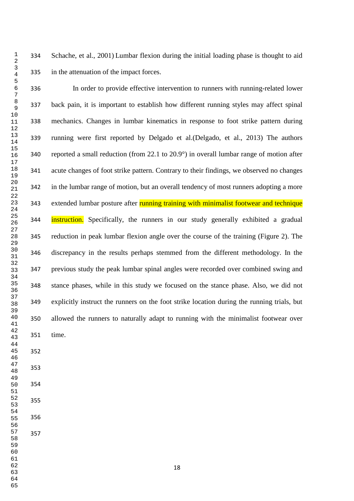[Schache, et al., 2001\)](#page-29-4) Lumbar flexion during the initial loading phase is thought to aid in the attenuation of the impact forces. In order to provide effective intervention to runners with running-related lower back pain, it is important to establish how different running styles may affect spinal

 mechanics. Changes in lumbar kinematics in response to foot strike pattern during running were first reported by Delgado et al.[\(Delgado, et al., 2013\)](#page-26-8) The authors reported a small reduction (from 22.1 to 20.9°) in overall lumbar range of motion after acute changes of foot strike pattern. Contrary to their findings, we observed no changes in the lumbar range of motion, but an overall tendency of most runners adopting a more 343 extended lumbar posture after running training with minimalist footwear and technique **instruction.** Specifically, the runners in our study generally exhibited a gradual reduction in peak lumbar flexion angle over the course of the training (Figure 2). The discrepancy in the results perhaps stemmed from the different methodology. In the previous study the peak lumbar spinal angles were recorded over combined swing and stance phases, while in this study we focused on the stance phase. Also, we did not explicitly instruct the runners on the foot strike location during the running trials, but allowed the runners to naturally adapt to running with the minimalist footwear over time.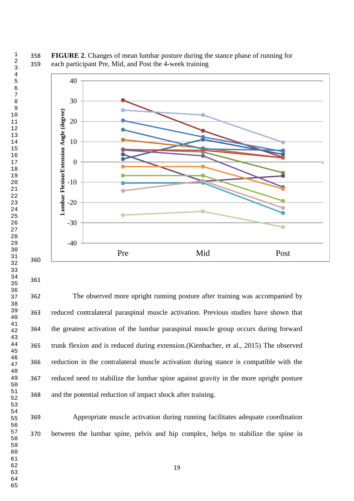**FIGURE 2**. Changes of mean lumbar posture during the stance phase of running for each participant Pre, Mid, and Post the 4-week training



 The observed more upright running posture after training was accompanied by reduced contralateral paraspinal muscle activation. Previous studies have shown that the greatest activation of the lumbar paraspinal muscle group occurs during forward trunk flexion and is reduced during extension.[\(Kienbacher, et al., 2015\)](#page-27-4) The observed reduction in the contralateral muscle activation during stance is compatible with the reduced need to stabilize the lumbar spine against gravity in the more upright posture and the potential reduction of impact shock after training.

 Appropriate muscle activation during running facilitates adequate coordination between the lumbar spine, pelvis and hip complex, helps to stabilize the spine in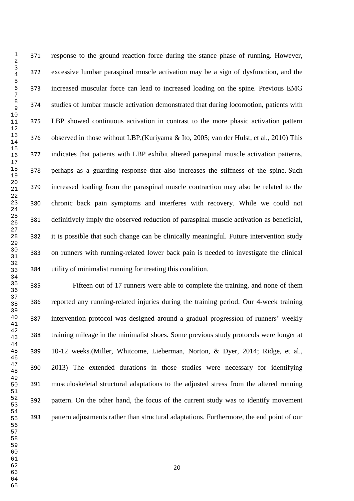response to the ground reaction force during the stance phase of running. However, excessive lumbar paraspinal muscle activation may be a sign of dysfunction, and the increased muscular force can lead to increased loading on the spine. Previous EMG studies of lumbar muscle activation demonstrated that during locomotion, patients with LBP showed continuous activation in contrast to the more phasic activation pattern observed in those without LBP.[\(Kuriyama & Ito, 2005;](#page-27-7) [van der Hulst, et al., 2010\)](#page-29-5) This indicates that patients with LBP exhibit altered paraspinal muscle activation patterns, perhaps as a guarding response that also increases the stiffness of the spine. Such increased loading from the paraspinal muscle contraction may also be related to the chronic back pain symptoms and interferes with recovery. While we could not definitively imply the observed reduction of paraspinal muscle activation as beneficial, it is possible that such change can be clinically meaningful. Future intervention study on runners with running-related lower back pain is needed to investigate the clinical utility of minimalist running for treating this condition.

 Fifteen out of 17 runners were able to complete the training, and none of them reported any running-related injuries during the training period. Our 4-week training intervention protocol was designed around a gradual progression of runners' weekly training mileage in the minimalist shoes. Some previous study protocols were longer at 10-12 weeks.[\(Miller, Whitcome, Lieberman, Norton, & Dyer, 2014;](#page-27-8) [Ridge, et al.,](#page-28-9)  [2013\)](#page-28-9) The extended durations in those studies were necessary for identifying musculoskeletal structural adaptations to the adjusted stress from the altered running pattern. On the other hand, the focus of the current study was to identify movement pattern adjustments rather than structural adaptations. Furthermore, the end point of our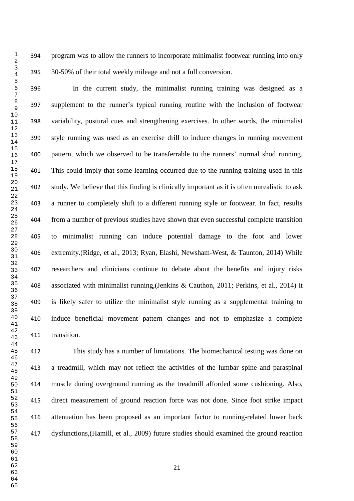program was to allow the runners to incorporate minimalist footwear running into only 30-50% of their total weekly mileage and not a full conversion.

 In the current study, the minimalist running training was designed as a supplement to the runner's typical running routine with the inclusion of footwear variability, postural cues and strengthening exercises. In other words, the minimalist style running was used as an exercise drill to induce changes in running movement pattern, which we observed to be transferrable to the runners' normal shod running. This could imply that some learning occurred due to the running training used in this study. We believe that this finding is clinically important as it is often unrealistic to ask a runner to completely shift to a different running style or footwear. In fact, results from a number of previous studies have shown that even successful complete transition to minimalist running can induce potential damage to the foot and lower extremity.[\(Ridge, et al., 2013;](#page-28-9) [Ryan, Elashi, Newsham-West, & Taunton, 2014\)](#page-28-10) While researchers and clinicians continue to debate about the benefits and injury risks associated with minimalist running,[\(Jenkins & Cauthon, 2011;](#page-27-9) [Perkins, et al., 2014\)](#page-28-1) it is likely safer to utilize the minimalist style running as a supplemental training to induce beneficial movement pattern changes and not to emphasize a complete transition.

 This study has a number of limitations. The biomechanical testing was done on a treadmill, which may not reflect the activities of the lumbar spine and paraspinal muscle during overground running as the treadmill afforded some cushioning. Also, direct measurement of ground reaction force was not done. Since foot strike impact attenuation has been proposed as an important factor to running-related lower back dysfunctions,[\(Hamill, et al., 2009\)](#page-27-2) future studies should examined the ground reaction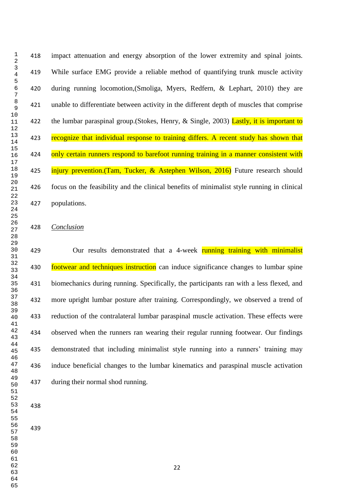impact attenuation and energy absorption of the lower extremity and spinal joints. While surface EMG provide a reliable method of quantifying trunk muscle activity during running locomotion,[\(Smoliga, Myers, Redfern, & Lephart, 2010\)](#page-29-6) they are unable to differentiate between activity in the different depth of muscles that comprise 422 the lumbar paraspinal group. (Stokes, Henry,  $\&$  Single, 2003) Lastly, it is important to 423 recognize that individual response to training differs. A recent study has shown that 424 only certain runners respond to barefoot running training in a manner consistent with 425 injury prevention.[\(Tam, Tucker, & Astephen Wilson, 2016\)](#page-29-8) Future research should focus on the feasibility and the clinical benefits of minimalist style running in clinical populations.

#### *Conclusion*

429 Our results demonstrated that a 4-week running training with minimalist **footwear and techniques instruction** can induce significance changes to lumbar spine biomechanics during running. Specifically, the participants ran with a less flexed, and more upright lumbar posture after training. Correspondingly, we observed a trend of reduction of the contralateral lumbar paraspinal muscle activation. These effects were observed when the runners ran wearing their regular running footwear. Our findings demonstrated that including minimalist style running into a runners' training may induce beneficial changes to the lumbar kinematics and paraspinal muscle activation during their normal shod running.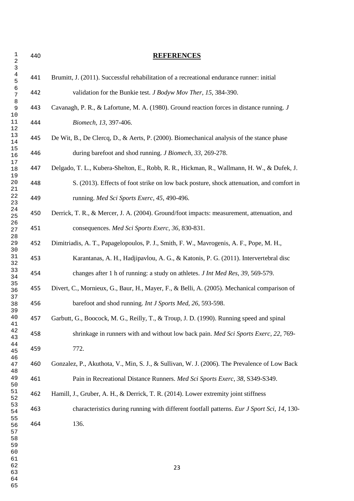<span id="page-26-9"></span><span id="page-26-8"></span><span id="page-26-7"></span><span id="page-26-6"></span><span id="page-26-5"></span><span id="page-26-4"></span><span id="page-26-3"></span><span id="page-26-2"></span><span id="page-26-1"></span><span id="page-26-0"></span> **REFERENCES** Brumitt, J. (2011). Successful rehabilitation of a recreational endurance runner: initial validation for the Bunkie test. *J Bodyw Mov Ther, 15*, 384-390. Cavanagh, P. R., & Lafortune, M. A. (1980). Ground reaction forces in distance running. *J Biomech, 13*, 397-406. De Wit, B., De Clercq, D., & Aerts, P. (2000). Biomechanical analysis of the stance phase during barefoot and shod running. *J Biomech, 33*, 269-278. Delgado, T. L., Kubera-Shelton, E., Robb, R. R., Hickman, R., Wallmann, H. W., & Dufek, J. S. (2013). Effects of foot strike on low back posture, shock attenuation, and comfort in running. *Med Sci Sports Exerc, 45*, 490-496. Derrick, T. R., & Mercer, J. A. (2004). Ground/foot impacts: measurement, attenuation, and consequences. *Med Sci Sports Exerc, 36*, 830-831. Dimitriadis, A. T., Papagelopoulos, P. J., Smith, F. W., Mavrogenis, A. F., Pope, M. H., Karantanas, A. H., Hadjipavlou, A. G., & Katonis, P. G. (2011). Intervertebral disc changes after 1 h of running: a study on athletes. *J Int Med Res, 39*, 569-579. Divert, C., Mornieux, G., Baur, H., Mayer, F., & Belli, A. (2005). Mechanical comparison of barefoot and shod running. *Int J Sports Med, 26*, 593-598. Garbutt, G., Boocock, M. G., Reilly, T., & Troup, J. D. (1990). Running speed and spinal shrinkage in runners with and without low back pain. *Med Sci Sports Exerc, 22*, 769- 772. Gonzalez, P., Akuthota, V., Min, S. J., & Sullivan, W. J. (2006). The Prevalence of Low Back Pain in Recreational Distance Runners. *Med Sci Sports Exerc, 38*, S349-S349. Hamill, J., Gruber, A. H., & Derrick, T. R. (2014). Lower extremity joint stiffness characteristics during running with different footfall patterns. *Eur J Sport Sci, 14*, 130- 136.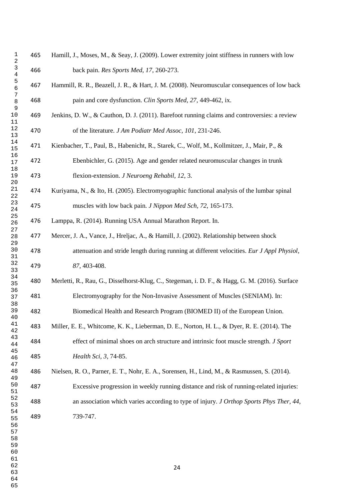<span id="page-27-9"></span><span id="page-27-8"></span><span id="page-27-7"></span><span id="page-27-6"></span><span id="page-27-5"></span><span id="page-27-4"></span><span id="page-27-3"></span><span id="page-27-2"></span><span id="page-27-1"></span><span id="page-27-0"></span> Hamill, J., Moses, M., & Seay, J. (2009). Lower extremity joint stiffness in runners with low back pain. *Res Sports Med, 17*, 260-273. Hammill, R. R., Beazell, J. R., & Hart, J. M. (2008). Neuromuscular consequences of low back pain and core dysfunction. *Clin Sports Med, 27*, 449-462, ix. Jenkins, D. W., & Cauthon, D. J. (2011). Barefoot running claims and controversies: a review of the literature. *J Am Podiatr Med Assoc, 101*, 231-246. Kienbacher, T., Paul, B., Habenicht, R., Starek, C., Wolf, M., Kollmitzer, J., Mair, P., & Ebenbichler, G. (2015). Age and gender related neuromuscular changes in trunk flexion-extension. *J Neuroeng Rehabil, 12*, 3. Kuriyama, N., & Ito, H. (2005). Electromyographic functional analysis of the lumbar spinal muscles with low back pain. *J Nippon Med Sch, 72*, 165-173. Lamppa, R. (2014). Running USA Annual Marathon Report. In. Mercer, J. A., Vance, J., Hreljac, A., & Hamill, J. (2002). Relationship between shock attenuation and stride length during running at different velocities. *Eur J Appl Physiol, 87*, 403-408. Merletti, R., Rau, G., Disselhorst-Klug, C., Stegeman, i. D. F., & Hagg, G. M. (2016). Surface Electromyography for the Non-Invasive Assessment of Muscles (SENIAM). In: Biomedical Health and Research Program (BIOMED II) of the European Union. Miller, E. E., Whitcome, K. K., Lieberman, D. E., Norton, H. L., & Dyer, R. E. (2014). The effect of minimal shoes on arch structure and intrinsic foot muscle strength. *J Sport Health Sci, 3*, 74-85. Nielsen, R. O., Parner, E. T., Nohr, E. A., Sorensen, H., Lind, M., & Rasmussen, S. (2014). Excessive progression in weekly running distance and risk of running-related injuries: an association which varies according to type of injury. *J Orthop Sports Phys Ther, 44*, 739-747.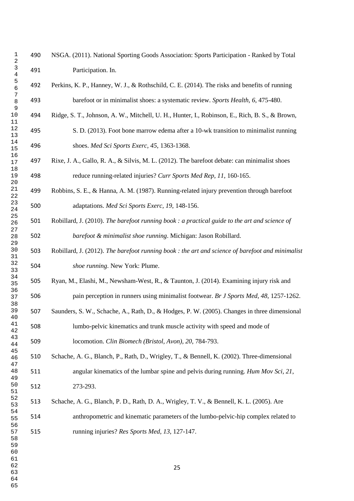<span id="page-28-0"></span> NSGA. (2011). National Sporting Goods Association: Sports Participation - Ranked by Total Participation. In.

- <span id="page-28-1"></span> Perkins, K. P., Hanney, W. J., & Rothschild, C. E. (2014). The risks and benefits of running barefoot or in minimalist shoes: a systematic review. *Sports Health, 6*, 475-480.
- <span id="page-28-9"></span> Ridge, S. T., Johnson, A. W., Mitchell, U. H., Hunter, I., Robinson, E., Rich, B. S., & Brown, S. D. (2013). Foot bone marrow edema after a 10-wk transition to minimalist running shoes. *Med Sci Sports Exerc, 45*, 1363-1368.
- <span id="page-28-2"></span> Rixe, J. A., Gallo, R. A., & Silvis, M. L. (2012). The barefoot debate: can minimalist shoes reduce running-related injuries? *Curr Sports Med Rep, 11*, 160-165.
- <span id="page-28-3"></span> Robbins, S. E., & Hanna, A. M. (1987). Running-related injury prevention through barefoot adaptations. *Med Sci Sports Exerc, 19*, 148-156.
- <span id="page-28-4"></span> Robillard, J. (2010). *The barefoot running book : a practical guide to the art and science of barefoot & minimalist shoe running*. Michigan: Jason Robillard.
- <span id="page-28-5"></span> Robillard, J. (2012). *The barefoot running book : the art and science of barefoot and minimalist shoe running*. New York: Plume.
- <span id="page-28-10"></span> Ryan, M., Elashi, M., Newsham-West, R., & Taunton, J. (2014). Examining injury risk and pain perception in runners using minimalist footwear. *Br J Sports Med, 48*, 1257-1262.
- <span id="page-28-6"></span> Saunders, S. W., Schache, A., Rath, D., & Hodges, P. W. (2005). Changes in three dimensional lumbo-pelvic kinematics and trunk muscle activity with speed and mode of

<span id="page-28-7"></span>locomotion. *Clin Biomech (Bristol, Avon), 20*, 784-793.

- Schache, A. G., Blanch, P., Rath, D., Wrigley, T., & Bennell, K. (2002). Three-dimensional angular kinematics of the lumbar spine and pelvis during running. *Hum Mov Sci, 21*, 273-293.
- <span id="page-28-8"></span> Schache, A. G., Blanch, P. D., Rath, D. A., Wrigley, T. V., & Bennell, K. L. (2005). Are anthropometric and kinematic parameters of the lumbo-pelvic-hip complex related to running injuries? *Res Sports Med, 13*, 127-147.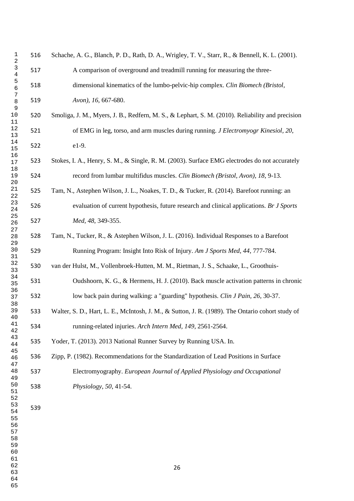<span id="page-29-8"></span><span id="page-29-7"></span><span id="page-29-6"></span><span id="page-29-5"></span><span id="page-29-4"></span><span id="page-29-3"></span><span id="page-29-2"></span><span id="page-29-1"></span><span id="page-29-0"></span>

| 1<br>$\sqrt{2}$                                    | 516 | Schache, A. G., Blanch, P. D., Rath, D. A., Wrigley, T. V., Starr, R., & Bennell, K. L. (2001).  |
|----------------------------------------------------|-----|--------------------------------------------------------------------------------------------------|
| $\mathsf 3$<br>$\overline{\mathbf{4}}$             | 517 | A comparison of overground and treadmill running for measuring the three-                        |
| 5<br>б                                             | 518 | dimensional kinematics of the lumbo-pelvic-hip complex. Clin Biomech (Bristol,                   |
| 7<br>8                                             | 519 | Avon), 16, 667-680.                                                                              |
| 9<br>10<br>11                                      | 520 | Smoliga, J. M., Myers, J. B., Redfern, M. S., & Lephart, S. M. (2010). Reliability and precision |
| 12<br>13                                           | 521 | of EMG in leg, torso, and arm muscles during running. J Electromyogr Kinesiol, 20,               |
| 14<br>15                                           | 522 | e1-9.                                                                                            |
| 16<br>17                                           | 523 | Stokes, I. A., Henry, S. M., & Single, R. M. (2003). Surface EMG electrodes do not accurately    |
| 18<br>19<br>20                                     | 524 | record from lumbar multifidus muscles. Clin Biomech (Bristol, Avon), 18, 9-13.                   |
| 21<br>22                                           | 525 | Tam, N., Astephen Wilson, J. L., Noakes, T. D., & Tucker, R. (2014). Barefoot running: an        |
| 23<br>24                                           | 526 | evaluation of current hypothesis, future research and clinical applications. Br J Sports         |
| 25<br>26                                           | 527 | Med, 48, 349-355.                                                                                |
| 27<br>28<br>29                                     | 528 | Tam, N., Tucker, R., & Astephen Wilson, J. L. (2016). Individual Responses to a Barefoot         |
| $30$<br>31                                         | 529 | Running Program: Insight Into Risk of Injury. Am J Sports Med, 44, 777-784.                      |
| 32<br>33                                           | 530 | van der Hulst, M., Vollenbroek-Hutten, M. M., Rietman, J. S., Schaake, L., Groothuis-            |
| 34<br>35                                           | 531 | Oudshoorn, K. G., & Hermens, H. J. (2010). Back muscle activation patterns in chronic            |
| 36<br>37<br>38                                     | 532 | low back pain during walking: a "guarding" hypothesis. Clin J Pain, 26, 30-37.                   |
| 39<br>40                                           | 533 | Walter, S. D., Hart, L. E., McIntosh, J. M., & Sutton, J. R. (1989). The Ontario cohort study of |
| 41<br>42                                           | 534 | running-related injuries. Arch Intern Med, 149, 2561-2564.                                       |
| 43<br>44                                           | 535 | Yoder, T. (2013). 2013 National Runner Survey by Running USA. In.                                |
| 45<br>46<br>47                                     | 536 | Zipp, P. (1982). Recommendations for the Standardization of Lead Positions in Surface            |
| 48<br>49                                           | 537 | Electromyography. European Journal of Applied Physiology and Occupational                        |
| 50<br>51                                           | 538 | Physiology, 50, 41-54.                                                                           |
| 52<br>53<br>54<br>55<br>56<br>57<br>58<br>59<br>60 | 539 |                                                                                                  |
| 61<br>62<br>63                                     |     | 26                                                                                               |